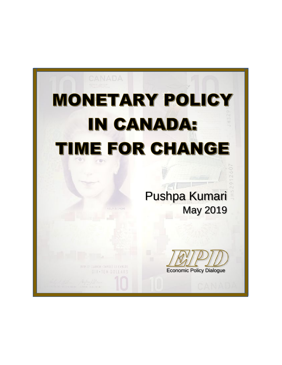# **MONETARY POLICY IN CANADA: TIME FOR CHANGE**

половин

**MIN. I-TAVADE - BENSIT ET CIRCOS** DIX-TEN DOLLARS Pushpa Kumari May 2019

Economic Policy Dialogue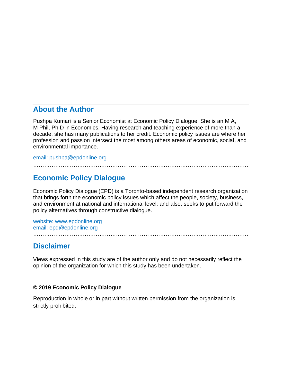## **About the Author**

Pushpa Kumari is a Senior Economist at Economic Policy Dialogue. She is an M A, M Phil, Ph D in Economics. Having research and teaching experience of more than a decade, she has many publications to her credit. Economic policy issues are where her profession and passion intersect the most among others areas of economic, social, and environmental importance.

………………………………………………………………………………………………………

email: [pushpa@epdonline.org](mailto:pushpa@epdonline.org)

## **Economic Policy Dialogue**

Economic Policy Dialogue (EPD) is a Toronto-based independent research organization that brings forth the economic policy issues which affect the people, society, business, and environment at national and international level; and also, seeks to put forward the policy alternatives through constructive dialogue.

website: <www.epdonline.org> email: [epd@epdonline.org](mailto:epd@epdonline.org)

## **Disclaimer**

Views expressed in this study are of the author only and do not necessarily reflect the opinion of the organization for which this study has been undertaken.

………………………………………………………………………………………………………

………………………………………………………………………………………………………

#### **© 2019 Economic Policy Dialogue**

Reproduction in whole or in part without written permission from the organization is strictly prohibited.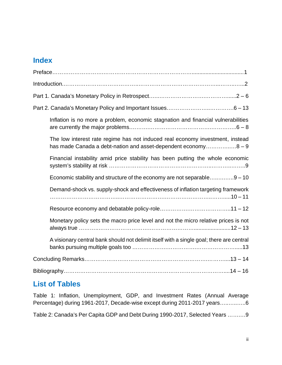# **Index**

| Inflation is no more a problem, economic stagnation and financial vulnerabilities                                                               |  |
|-------------------------------------------------------------------------------------------------------------------------------------------------|--|
| The low interest rate regime has not induced real economy investment, instead<br>has made Canada a debt-nation and asset-dependent economy8 - 9 |  |
| Financial instability amid price stability has been putting the whole economic                                                                  |  |
| Economic stability and structure of the economy are not separable9 - 10                                                                         |  |
| Demand-shock vs. supply-shock and effectiveness of inflation targeting framework                                                                |  |
|                                                                                                                                                 |  |
| Monetary policy sets the macro price level and not the micro relative prices is not                                                             |  |
| A visionary central bank should not delimit itself with a single goal; there are central                                                        |  |
|                                                                                                                                                 |  |
|                                                                                                                                                 |  |

# **List of Tables**

Table 1: Inflation, Unemployment, GDP, and Investment Rates (Annual Average Percentage) during 1961-2017, Decade-wise except during 2011-2017 years…..…..…..6

Table 2: Canada's Per Capita GDP and Debt During 1990-2017, Selected Years …….…9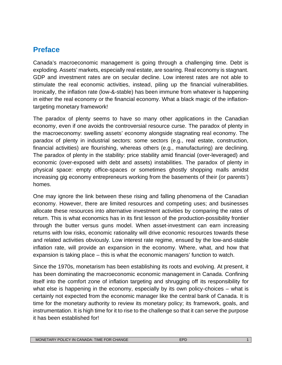# **Preface**

Canada's macroeconomic management is going through a challenging time. Debt is exploding. Assets' markets, especially real estate, are soaring. Real economy is stagnant. GDP and investment rates are on secular decline. Low interest rates are not able to stimulate the real economic activities, instead, piling up the financial vulnerabilities. Ironically, the inflation rate (low-&-stable) has been immune from whatever is happening in either the real economy or the financial economy. What a black magic of the inflationtargeting monetary framework!

The paradox of plenty seems to have so many other applications in the Canadian economy, even if one avoids the controversial resource curse. The paradox of plenty in the macroeconomy: swelling assets' economy alongside stagnating real economy. The paradox of plenty in industrial sectors: some sectors (e.g., real estate, construction, financial activities) are flourishing, whereas others (e.g., manufacturing) are declining. The paradox of plenty in the stability: price stability amid financial (over-leveraged) and economic (over-exposed with debt and assets) instabilities. The paradox of plenty in physical space: empty office-spaces or sometimes ghostly shopping malls amidst increasing gig economy entrepreneurs working from the basements of their (or parents') homes.

One may ignore the link between these rising and falling phenomena of the Canadian economy. However, there are limited resources and competing uses; and businesses allocate these resources into alternative investment activities by comparing the rates of return. This is what economics has in its first lesson of the production-possibility frontier through the butter versus guns model. When asset-investment can earn increasing returns with low risks, economic rationality will drive economic resources towards these and related activities obviously. Low interest rate regime, ensued by the low-and-stable inflation rate, will provide an expansion in the economy. Where, what, and how that expansion is taking place – this is what the economic managers' function to watch.

Since the 1970s, monetarism has been establishing its roots and evolving. At present, it has been dominating the macroeconomic economic management in Canada. Confining itself into the comfort zone of inflation targeting and shrugging off its responsibility for what else is happening in the economy, especially by its own policy-choices – what is certainly not expected from the economic manager like the central bank of Canada. It is time for the monetary authority to review its monetary policy; its framework, goals, and instrumentation. It is high time for it to rise to the challenge so that it can serve the purpose it has been established for!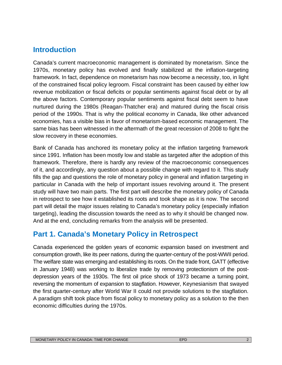## **Introduction**

Canada's current macroeconomic management is dominated by monetarism. Since the 1970s, monetary policy has evolved and finally stabilized at the inflation-targeting framework. In fact, dependence on monetarism has now become a necessity, too, in light of the constrained fiscal policy legroom. Fiscal constraint has been caused by either low revenue mobilization or fiscal deficits or popular sentiments against fiscal debt or by all the above factors. Contemporary popular sentiments against fiscal debt seem to have nurtured during the 1980s (Reagan-Thatcher era) and matured during the fiscal crisis period of the 1990s. That is why the political economy in Canada, like other advanced economies, has a visible bias in favor of monetarism-based economic management. The same bias has been witnessed in the aftermath of the great recession of 2008 to fight the slow recovery in these economies.

Bank of Canada has anchored its monetary policy at the inflation targeting framework since 1991. Inflation has been mostly low and stable as targeted after the adoption of this framework. Therefore, there is hardly any review of the macroeconomic consequences of it, and accordingly, any question about a possible change with regard to it. This study fills the gap and questions the role of monetary policy in general and inflation targeting in particular in Canada with the help of important issues revolving around it. The present study will have two main parts. The first part will describe the monetary policy of Canada in retrospect to see how it established its roots and took shape as it is now. The second part will detail the major issues relating to Canada's monetary policy (especially inflation targeting), leading the discussion towards the need as to why it should be changed now. And at the end, concluding remarks from the analysis will be presented.

# **Part 1. Canada's Monetary Policy in Retrospect**

Canada experienced the golden years of economic expansion based on investment and consumption growth, like its peer nations, during the quarter-century of the post-WWII period. The welfare state was emerging and establishing its roots. On the trade front, GATT (effective in January 1948) was working to liberalize trade by removing protectionism of the post depression years of the 1930s. The first oil price shock of 1973 became a turning point, reversing the momentum of expansion to stagflation. However, Keynesianism that swayed the first quarter-century after World War II could not provide solutions to the stagflation. A paradigm shift took place from fiscal policy to monetary policy as a solution to the then economic difficulties during the 1970s.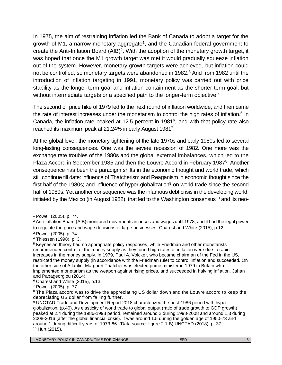In 1975, the aim of restraining inflation led the Bank of Canada to adopt a target for the growth of M1, a narrow monetary aggregate<sup>1</sup>, and the Canadian federal government to create the Anti-Inflation Board (AIB)<sup>2</sup>. With the adoption of the monetary growth target, it was hoped that once the M1 growth target was met it would gradually squeeze inflation out of the system. However, monetary growth targets were achieved, but inflation could not be controlled, so monetary targets were abandoned in 1982.<sup>3</sup> And from 1982 until the introduction of inflation targeting in 1991, monetary policy was carried out with price stability as the longer-term goal and inflation containment as the shorter-term goal, but without intermediate targets or a specified path to the longer-term objective.<sup>4</sup>

The second oil price hike of 1979 led to the next round of inflation worldwide, and then came the rate of interest increases under the monetarism to control the high rates of inflation.<sup>5</sup> In Canada, the inflation rate peaked at 12.5 percent in 1981<sup>6</sup> , and with that policy rate also reached its maximum peak at 21.24% in early August 1981<sup>7</sup> .

At the global level, the monetary tightening of the late 1970s and early 1980s led to several long-lasting consequences. One was the severe recession of 1982. One more was the exchange rate troubles of the 1980s and the global external imbalances, which led to the Plaza Accord in September 1985 and then the Louvre Accord in February 1987<sup>8</sup>. Another consequence has been the paradigm shifts in the economic thought and world trade, which still continue till date: influence of Thatcherism and Reaganism in economic thought since the first half of the 1980s; and influence of hyper-globalization<sup>9</sup> on world trade since the second half of 1980s. Yet another consequence was the infamous debt crisis in the developing world, initiated by the Mexico (in August 1982), that led to the Washington consensus<sup>10</sup> and its neo-

<sup>1</sup> Powell (2005), p. 74.

<sup>2</sup> Anti-Inflation Board (AIB) monitored movements in prices and wages until 1978, and it had the legal power to regulate the price and wage decisions of large businesses. Charest and White (2015), p.12.

<sup>3</sup> Powell (2005), p. 74.

<sup>4</sup> Thiessen (1998), p. 3.

<sup>5</sup> Keynesian theory had no appropriate policy responses, while Friedman and other monetarists recommended control of the money supply as they found high rates of inflation were due to rapid increases in the money supply. In 1979, Paul A. Volcker, who became chairman of the Fed in the US, restricted the money supply (in accordance with the Friedman rule) to control inflation and succeeded. On the other side of Atlantic, Margaret Thatcher was elected prime minister in 1979 in Britain who implemented monetarism as the weapon against rising prices, and succeeded in halving inflation. Jahan and Papageorgiou (2014).

<sup>6</sup> Charest and White (2015), p.13.

<sup>7</sup> Powell (2005), p. 77.

<sup>&</sup>lt;sup>8</sup> The Plaza accord was to drive the appreciating US dollar down and the Louvre accord to keep the depreciating US dollar from falling further.

<sup>9</sup> UNCTAD Trade and Development Report 2018 characterized the post-1986 period with hyper globalization. (p.40). As elasticity of world trade to global output (ratio of trade growth to GDP growth) peaked at 2.4 during the 1986-1998 period, remained around 2 during 1998-2008 and around 1.3 during 2008-2016 (after the global financial crisis). It was around 1.5 during the golden age of 1950-73 and around 1 during difficult years of 1973-86. (Data source: figure 2.1.B) UNCTAD (2018), p. 37. <sup>10</sup> Hurt (2015).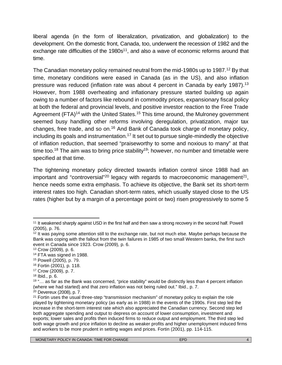liberal agenda (in the form of liberalization, privatization, and globalization) to the development. On the domestic front, Canada, too, underwent the recession of 1982 and the exchange rate difficulties of the  $1980s<sup>11</sup>$ , and also a wave of economic reforms around that time.

The Canadian monetary policy remained neutral from the mid-1980s up to 1987.<sup>12</sup> By that time, monetary conditions were eased in Canada (as in the US), and also inflation pressure was reduced (inflation rate was about 4 percent in Canada by early 1987).<sup>13</sup> However, from 1988 overheating and inflationary pressure started building up again owing to a number of factors like rebound in commodity prices, expansionary fiscal policy at both the federal and provincial levels, and positive investor reaction to the Free Trade Agreement (FTA)<sup>14</sup> with the United States.<sup>15</sup> This time around, the Mulroney government seemed busy handling other reforms involving deregulation, privatization, major tax changes, free trade, and so on.<sup>16</sup> And Bank of Canada took charge of monetary policy, including its goals and instrumentation.<sup>17</sup> It set out to pursue single-mindedly the objective of inflation reduction, that seemed "praiseworthy to some and noxious to many" at that time too.<sup>18</sup> The aim was to bring price stability<sup>19</sup>; however, no number and timetable were specified at that time.

The tightening monetary policy directed towards inflation control since 1988 had an important and "controversial"<sup>20</sup> legacy with regards to macroeconomic management<sup>21</sup>, hence needs some extra emphasis. To achieve its objective, the Bank set its short-term interest rates too high. Canadian short-term rates, which usually stayed close to the US rates (higher but by a margin of a percentage point or two) risen progressively to some 5

<sup>&</sup>lt;sup>11</sup> It weakened sharply against USD in the first half and then saw a strong recovery in the second half. Powell (2005), p. 76.

 $12$  It was paying some attention still to the exchange rate, but not much else. Maybe perhaps because the Bank was coping with the fallout from the twin failures in 1985 of two small Western banks, the first such event in Canada since 1923. Crow (2009), p. 6.

<sup>13</sup> Crow (2009), p. 6.

<sup>14</sup> FTA was signed in 1988.

<sup>15</sup> Powell (2005), p. 79.

<sup>16</sup> Fortin (2001), p. 118.

<sup>17</sup> Crow (2009), p. 7.

<sup>18</sup> Ibid., p. 6.

<sup>&</sup>lt;sup>19</sup> "... as far as the Bank was concerned, "price stability" would be distinctly less than 4 percent inflation (where we had started) and that zero inflation was not being ruled out." Ibid., p. 7.

<sup>20</sup> Devereux (2008), p. 7.

 $21$  Fortin uses the usual three-step "transmission mechanism" of monetary policy to explain the role played by tightening monetary policy (as early as in 1988) in the events of the 1990s. First step led the increase in the short-term interest rate which also appreciated the Canadian currency. Second step led both aggregate spending and output to depress on account of lower consumption, investment and exports; lower sales and profits then induced firms to reduce output and employment. The third step led both wage growth and price inflation to decline as weaker profits and higher unemployment induced firms and workers to be more prudent in setting wages and prices. Fortin (2001), pp. 114-115.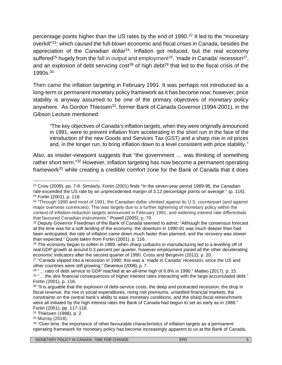percentage points higher than the US rates by the end of 1990.<sup>22</sup> It led to the "monetary overkill"<sup>23</sup>; which caused the full-blown economic and fiscal crises in Canada, besides the appreciation of the Canadian dollar<sup>24</sup>. Inflation got reduced, but the real economy suffered<sup>25</sup> hugely from the fall in output and employment<sup>26</sup>, 'made in Canada' recession<sup>27</sup>, and an explosion of debt servicing  $cost^{28}$  of high debt<sup>29</sup> that led to the fiscal crisis of the 1990s.<sup>30</sup>

Then came the inflation targeting in February 1991. It was perhaps not introduced as a long-term or permanent monetary policy framework as it has become now; however, price stability is anyway assumed to be one of the primary objectives of monetary policy anywhere. As Gordon Thiessen<sup>31</sup>, former Bank of Canada Governor (1994-2001), in the Gibson Lecture mentioned:

"The key objectives of Canada's inflation targets, when they were originally announced in 1991, were to prevent inflation from accelerating in the short run in the face of the introduction of the new Goods and Services Tax (GST) and a sharp rise in oil prices and, in the longer run, to bring inflation down to a level consistent with price stability."

Also, as insider-viewpoint suggests that "the government … was thinking of something rather short term."<sup>32</sup> However, inflation targeting has now become a permanent operating framework<sup>33</sup> while creating a credible comfort zone for the Bank of Canada that it does

<sup>22</sup> Crow (2009), pp. 7-8. Similarly, Fortin (2001) finds "In the seven-year period 1989-95, the Canadian rate exceeded the US rate by an unprecedented margin of 3.12 percentage points on average." (p. 116). <sup>23</sup> Fortin (2001), p. 118.

<sup>24</sup> "Through 1990 and most of 1991, the Canadian dollar climbed against its U.S. counterpart (and against major overseas currencies). This was largely due to a further tightening of monetary policy within the context of inflation-reduction targets announced in February 1991, and widening interest rate differentials that favoured Canadian instruments." Powell (2005), p. 79.

<sup>&</sup>lt;sup>25</sup> Deputy Governor Freedman of the Bank of Canada seemed to admit: "Although the consensus forecast at the time was for a soft landing of the economy, the downturn in 1990-91 was much deeper than had been anticipated, the rate of inflation came down much faster than planned, and the recovery was slower than expected." Quote taken from Fortin (2001), p. 116.

 $26$  The economy began to soften in 1989, when sharp cutbacks in manufacturing led to a levelling off of real GDP growth at around 0.3 percent per quarter, however employment joined all the other decelerating economic indicators after the second quarter of 1990. Cross and Bergevin (2012), p. 20.

 $27$  "Canada slipped into a recession in 1990; this was a 'made in Canada' recession, since the US and other countries were still growing." Devereux (2008), p. 7.

<sup>28</sup> "… ratio of debt service to GDP reached at an all-time high of 6.6% in 1990." Matteo (2017), p. 15. <sup>29 "...</sup> the dire financial consequences of higher interest rates interacting with the large accumulated debt." Fortin (2001), p. 118.

<sup>&</sup>lt;sup>30</sup> "It is arguable that the explosion of debt-service costs, the deep and protracted recession, the drop in fiscal revenue, the rise in social expenditures, rising risk premiums, unsettled financial markets, the constraints on the central bank's ability to ease monetary conditions, and the sharp fiscal retrenchment were all initiated by the high interest rates the Bank of Canada had begun to set as early as in 1988." Fortin (2001), pp. 117-118.

<sup>31</sup> Thiessen (1998), p. 2.

<sup>32</sup> Murray (2018).

<sup>&</sup>lt;sup>33</sup> "Over time, the importance of other favourable characteristics of inflation targets as a permanent operating framework for monetary policy has become increasingly apparent to us at the Bank of Canada.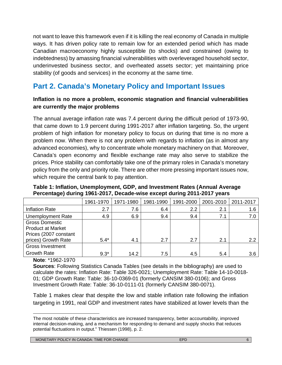not want to leave this framework even if it is killing the real economy of Canada in multiple ways. It has driven policy rate to remain low for an extended period which has made Canadian macroeconomy highly susceptible (to shocks) and constrained (owing to indebtedness) by amassing financial vulnerabilities with overleveraged household sector, underinvested business sector, and overheated assets sector; yet maintaining price stability (of goods and services) in the economy at the same time.

# **Part 2. Canada's Monetary Policy and Important Issues**

### **Inflation is no more a problem, economic stagnation and financial vulnerabilities are currently the major problems**

The annual average inflation rate was 7.4 percent during the difficult period of 1973-90, that came down to 1.9 percent during 1991-2017 after inflation targeting. So, the urgent problem of high inflation for monetary policy to focus on during that time is no more a problem now. When there is not any problem with regards to inflation (as in almost any advanced economies), why to concentrate whole monetary machinery on that. Moreover, Canada's open economy and flexible exchange rate may also serve to stabilize the prices. Price stability can comfortably take one of the primary roles in Canada's monetary policy from the only and priority role. There are other more pressing important issues now, which require the central bank to pay attention.

|                                                                                                   | 1961-1970 | 1971-1980 | 1981-1990 | 1991-2000 | 2001-2010 | 2011-2017 |
|---------------------------------------------------------------------------------------------------|-----------|-----------|-----------|-----------|-----------|-----------|
| <b>Inflation Rate</b>                                                                             | 2.7       | 7.6       | 6.4       | 2.2       | 2.1       | 1.6       |
| <b>Unemployment Rate</b>                                                                          | 4.9       | 6.9       | 9.4       | 9.4       | 7.1       | 7.0       |
| <b>Gross Domestic</b><br><b>Product at Market</b><br>Prices (2007 constant<br>prices) Growth Rate | $5.4*$    | 4.1       | 2.7       | 2.7       | 2.1       | 2.2       |
| <b>Gross Investment</b>                                                                           |           |           |           |           |           |           |
| <b>Growth Rate</b>                                                                                | $9.3*$    | 14.2      | 7.5       | 4.5       | 5.4       | 3.6       |

#### **Table 1: Inflation, Unemployment, GDP, and Investment Rates (Annual Average Percentage) during 1961-2017, Decade-wise except during 2011-2017 years**

**Note**: \*1962-1970

**Sources**: Following Statistics Canada Tables (see details in the bibliography) are used to calculate the rates: Inflation Rate: Table 326-0021; Unemployment Rate: Table 14-10-0018- 01; GDP Growth Rate: Table: 36-10-0369-01 (formerly CANSIM 380-0106); and Gross Investment Growth Rate: Table: 36-10-0111-01 (formerly CANSIM 380-0071).

Table 1 makes clear that despite the low and stable inflation rate following the inflation targeting in 1991, real GDP and investment rates have stabilized at lower levels than the

The most notable of these characteristics are increased transparency, better accountability, improved internal decision-making, and a mechanism for responding to demand and supply shocks that reduces potential fluctuations in output." Thiessen (1998), p. 2.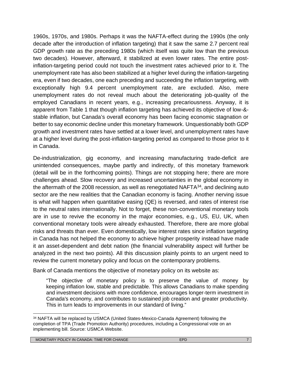1960s, 1970s, and 1980s. Perhaps it was the NAFTA-effect during the 1990s (the only decade after the introduction of inflation targeting) that it saw the same 2.7 percent real GDP growth rate as the preceding 1980s (which itself was quite low than the previous two decades). However, afterward, it stabilized at even lower rates. The entire postinflation-targeting period could not touch the investment rates achieved prior to it. The unemployment rate has also been stabilized at a higher level during the inflation-targeting era, even if two decades, one each preceding and succeeding the inflation targeting, with exceptionally high 9.4 percent unemployment rate, are excluded. Also, mere unemployment rates do not reveal much about the deteriorating job-quality of the employed Canadians in recent years, e.g., increasing precariousness. Anyway, it is apparent from Table 1 that though inflation targeting has achieved its objective of low-& stable inflation, but Canada's overall economy has been facing economic stagnation or better to say economic decline under this monetary framework. Unquestionably both GDP growth and investment rates have settled at a lower level, and unemployment rates have at a higher level during the post-inflation-targeting period as compared to those prior to it in Canada.

De-industrialization, gig economy, and increasing manufacturing trade-deficit are unintended consequences, maybe partly and indirectly, of this monetary framework (detail will be in the forthcoming points). Things are not stopping here; there are more challenges ahead. Slow recovery and increased uncertainties in the global economy in the aftermath of the 2008 recession, as well as renegotiated NAFTA<sup>34</sup>, and declining auto sector are the new realities that the Canadian economy is facing. Another nerving issue is what will happen when quantitative easing (QE) is reversed, and rates of interest rise to the neutral rates internationally. Not to forget, these non-conventional monetary tools are in use to revive the economy in the major economies, e.g., US, EU, UK, when conventional monetary tools were already exhausted. Therefore, there are more global risks and threats than ever. Even domestically, low interest rates since inflation targeting in Canada has not helped the economy to achieve higher prosperity instead have made it an asset-dependent and debt nation (the financial vulnerability aspect will further be analyzed in the next two points). All this discussion plainly points to an urgent need to review the current monetary policy and focus on the contemporary problems.

Bank of Canada mentions the objective of monetary policy on its website as:

"The objective of monetary policy is to preserve the value of money by keeping inflation low, stable and predictable. This allows Canadians to make spending and investment decisions with more confidence, encourages longer-term investment in Canada's economy, and contributes to sustained job creation and greater productivity. This in turn leads to improvements in our standard of living."

<sup>34</sup> NAFTA will be replaced by USMCA (United States-Mexico-Canada Agreement) following the completion of TPA (Trade Promotion Authority) procedures, including a Congressional vote on an implementing bill. Source: USMCA Website.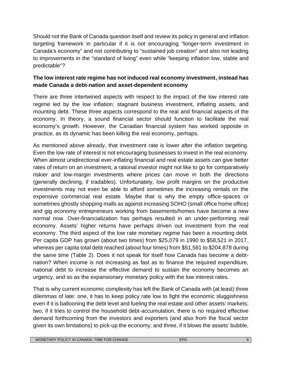Should not the Bank of Canada question itself and review its policy in general and inflation targeting framework in particular if it is not encouraging "longer-term investment in Canada's economy" and not contributing to "sustained job creation" and also not leading to improvements in the "standard of living" even while "keeping inflation low, stable and predictable"?

## **The low interest rate regime has not induced real economy investment, instead has made Canada a debt-nation and asset-dependent economy**

There are three intertwined aspects with respect to the impact of the low interest rate regime led by the low inflation: stagnant business investment, inflating assets, and mounting debt. These three aspects correspond to the real and financial aspects of the economy. In theory, a sound financial sector should function to facilitate the real economy's growth. However, the Canadian financial system has worked opposite in practice, as its dynamic has been killing the real economy, perhaps.

As mentioned above already, that investment rate is lower after the inflation targeting. Even the low rate of interest is not encouraging businesses to invest in the real economy. When almost unidirectional ever-inflating financial and real estate assets can give better rates of return on an investment, a rational investor might not like to go for comparatively riskier and low-margin investments where prices can move in both the directions (generally declining, if tradables). Unfortunately, low profit margins on the productive investments may not even be able to afford sometimes the increasing rentals on the expensive commercial real estate. Maybe that is why the empty office-spaces or sometimes ghostly shopping malls as against increasing SOHO (small office home office) and gig economy entrepreneurs working from basements/homes have become a new normal now. Over-financialization has perhaps resulted in an under-performing real economy. Assets' higher returns have perhaps driven out investment from the real economy. The third aspect of the low rate monetary regime has been a mounting debt. Per capita GDP has grown (about two times) from \$25,079 in 1990 to \$58,521 in 2017, whereas per capita total debt reached (about four times) from \$51,581 to \$204,878 during the same time (Table 2). Does it not speak for itself how Canada has become a debt nation? When income is not increasing as fast as to finance the required expenditure, national debt to increase the effective demand to sustain the economy becomes an urgency, and so as the expansionary monetary policy with the low interest rates.

That is why current economic complexity has left the Bank of Canada with (at least) three dilemmas of late: one, it has to keep policy rate low to fight the economic sluggishness even if it is ballooning the debt level and fueling the real estate and other assets' markets; two, if it tries to control the household debt-accumulation, there is no required effective demand forthcoming from the investors and exporters (and also from the fiscal sector given its own limitations) to pick-up the economy; and three, if it blows the assets' bubble,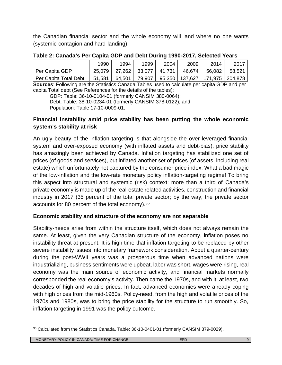the Canadian financial sector and the whole economy will land where no one wants (systemic-contagion and hard-landing).

|                       | 1990   | 1994   | 1999   | 2004   | 2009   | 2014                                 | 2017   |
|-----------------------|--------|--------|--------|--------|--------|--------------------------------------|--------|
| Per Capita GDP        | 25,079 | 27,262 | 33,077 | 41,731 | 46,674 | 56,082                               | 58,521 |
| Per Capita Total Debt | 51,581 | 64,501 | 79,907 |        |        | 95,350   137,627   171,975   204,878 |        |

**Table 2: Canada's Per Capita GDP and Debt During 1990-2017, Selected Years**

**Sources**: Following are the Statistics Canada Tables used to calculate per capita GDP and per capita Total debt (See References for the details of the tables):

GDP: Table: 36-10-0104-01 (formerly CANSIM 380-0064); Debt: Table: 38-10-0234-01 (formerly CANSIM 378-0122); and Population: Table 17-10-0009-01.

## **Financial instability amid price stability has been putting the whole economic system's stability at risk**

An ugly beauty of the inflation targeting is that alongside the over-leveraged financial system and over-exposed economy (with inflated assets and debt-bias), price stability has amazingly been achieved by Canada. Inflation targeting has stabilized one set of prices (of goods and services), but inflated another set of prices (of assets, including real estate) which unfortunately not captured by the consumer price index. What a bad magic of the low-inflation and the low-rate monetary policy inflation-targeting regime! To bring this aspect into structural and systemic (risk) context: more than a third of Canada's private economy is made up of the real-estate related activities, construction and financial industry in 2017 (35 percent of the total private sector; by the way, the private sector accounts for 80 percent of the total economy).<sup>35</sup>

## **Economic stability and structure of the economy are not separable**

Stability-needs arise from within the structure itself, which does not always remain the same. At least, given the very Canadian structure of the economy, inflation poses no instability threat at present. It is high time that inflation targeting to be replaced by other severe instability issues into monetary framework consideration. About a quarter-century during the post-WWII years was a prosperous time when advanced nations were industrializing, business sentiments were upbeat, labor was short, wages were rising, real economy was the main source of economic activity, and financial markets normally corresponded the real economy's activity. Then came the 1970s, and with it, at least, two decades of high and volatile prices. In fact, advanced economies were already coping with high prices from the mid-1960s. Policy-need, from the high and volatile prices of the 1970s and 1980s, was to bring the price stability for the structure to run smoothly. So, inflation targeting in 1991 was the policy outcome.

<sup>35</sup> Calculated from the Statistics Canada. Table: 36-10-0401-01 (formerly CANSIM 379-0029).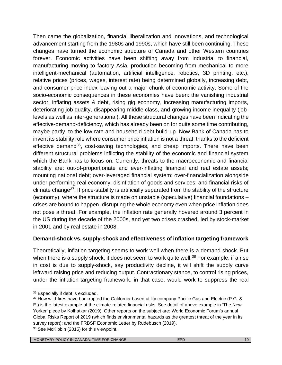Then came the globalization, financial liberalization and innovations, and technological advancement starting from the 1980s and 1990s, which have still been continuing. These changes have turned the economic structure of Canada and other Western countries forever. Economic activities have been shifting away from industrial to financial, manufacturing moving to factory Asia, production becoming from mechanical to more intelligent-mechanical (automation, artificial intelligence, robotics, 3D printing, etc.), relative prices (prices, wages, interest rate) being determined globally, increasing debt, and consumer price index leaving out a major chunk of economic activity. Some of the socio-economic consequences in these economies have been: the vanishing industrial sector, inflating assets & debt, rising gig economy, increasing manufacturing imports, deteriorating job quality, disappearing middle class, and growing income inequality (joblevels as well as inter-generational). All these structural changes have been indicating the effective-demand-deficiency, which has already been on for quite some time contributing, maybe partly, to the low-rate and household debt build-up. Now Bank of Canada has to invent its stability role where consumer price inflation is not a threat, thanks to the deficient effective demand<sup>36</sup>, cost-saving technologies, and cheap imports. There have been different structural problems inflicting the stability of the economic and financial system which the Bank has to focus on. Currently, threats to the macroeconomic and financial stability are: out-of-proportionate and ever-inflating financial and real estate assets; mounting national debt; over-leveraged financial system; over-financialization alongside under-performing real economy; disinflation of goods and services; and financial risks of climate change<sup>37</sup>. If price-stability is artificially separated from the stability of the structure (economy), where the structure is made on unstable (speculative) financial foundations – crises are bound to happen, disrupting the whole economy even when price inflation does not pose a threat. For example, the inflation rate generally hovered around 3 percent in the US during the decade of the 2000s, and yet two crises crashed, led by stock-market in 2001 and by real estate in 2008.

## **Demand-shock vs. supply-shock and effectiveness of inflation targeting framework**

Theoretically, inflation targeting seems to work well when there is a demand shock. But when there is a supply shock, it does not seem to work quite well.<sup>38</sup> For example, if a rise in cost is due to supply-shock, say productivity decline, it will shift the supply curve leftward raising price and reducing output. Contractionary stance, to control rising prices, under the inflation-targeting framework, in that case, would work to suppress the real

<sup>36</sup> Especially if debt is excluded.

<sup>37</sup> How wild-fires have bankrupted the California-based utility company Pacific Gas and Electric (P.G. & E.) is the latest example of the climate-related financial risks. See detail of above example in 'The New Yorker' piece by Kolhatkar (2019). Other reports on the subject are: World Economic Forum's annual Global Risks Report of 2019 (which finds environmental hazards as the greatest threat of the year in its survey report); and the FRBSF Economic Letter by Rudebusch (2019). 38 See McKibbin (2015) for this viewpoint.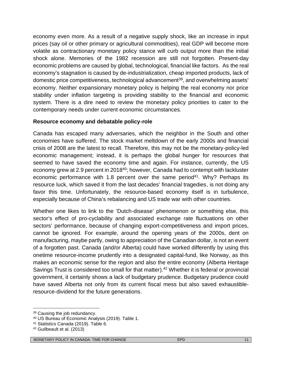economy even more. As a result of a negative supply shock, like an increase in input prices (say oil or other primary or agricultural commodities), real GDP will become more volatile as contractionary monetary policy stance will curb output more than the initial shock alone. Memories of the 1982 recession are still not forgotten. Present-day economic problems are caused by global, technological, financial like factors. As the real economy's stagnation is caused by de-industrialization, cheap imported products, lack of domestic price competitiveness, technological advancement<sup>39</sup>, and overwhelming assets' economy. Neither expansionary monetary policy is helping the real economy nor price stability under inflation targeting is providing stability to the financial and economic system. There is a dire need to review the monetary policy priorities to cater to the contemporary needs under current economic circumstances.

#### **Resource economy and debatable policy-role**

Canada has escaped many adversaries, which the neighbor in the South and other economies have suffered. The stock market meltdown of the early 2000s and financial crisis of 2008 are the latest to recall. Therefore, this may not be the monetary-policy-led economic management; instead, it is perhaps the global hunger for resources that seemed to have saved the economy time and again. For instance, currently, the US economy grew at 2.9 percent in 2018<sup>40</sup>; however, Canada had to contempt with lackluster economic performance with 1.8 percent over the same period<sup>41</sup>. Why? Perhaps its resource luck, which saved it from the last decades' financial tragedies, is not doing any favor this time. Unfortunately, the resource-based economy itself is in turbulence, especially because of China's rebalancing and US trade war with other countries.

Whether one likes to link to the 'Dutch-disease' phenomenon or something else, this sector's effect of pro-cyclability and associated exchange rate fluctuations on other sectors' performance, because of changing export-competitiveness and import prices, cannot be ignored. For example, around the opening years of the 2000s, dent on manufacturing, maybe partly, owing to appreciation of the Canadian dollar, is not an event of a forgotten past. Canada (and/or Alberta) could have worked differently by using this onetime resource-income prudently into a designated capital-fund, like Norway, as this makes an economic sense for the region and also the entire economy (Alberta Heritage Savings Trust is considered too small for that matter).<sup>42</sup> Whether it is federal or provincial government, it certainly shows a lack of budgetary prudence. Budgetary prudence could have saved Alberta not only from its current fiscal mess but also saved exhaustibleresource-dividend for the future generations.

<sup>39</sup> Causing the job redundancy.

<sup>40</sup> US Bureau of Economic Analysis (2019). Table 1.

<sup>41</sup> Statistics Canada (2019). Table 6.

<sup>42</sup> Guilbeault et al. (2013)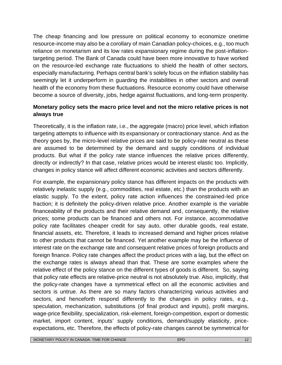The cheap financing and low pressure on political economy to economize onetime resource-income may also be a corollary of main Canadian policy-choices, e.g., too much reliance on monetarism and its low rates expansionary regime during the post-inflationtargeting period. The Bank of Canada could have been more innovative to have worked on the resource-led exchange rate fluctuations to shield the health of other sectors, especially manufacturing. Perhaps central bank's solely focus on the inflation stability has seemingly let it underperform in guarding the instabilities in other sectors and overall health of the economy from these fluctuations. Resource economy could have otherwise become a source of diversity, jobs, hedge against fluctuations, and long-term prosperity.

## **Monetary policy sets the macro price level and not the micro relative prices is not always true**

Theoretically, it is the inflation rate, i.e., the aggregate (macro) price level, which inflation targeting attempts to influence with its expansionary or contractionary stance. And as the theory goes by, the micro-level relative prices are said to be policy-rate neutral as these are assumed to be determined by the demand and supply conditions of individual products. But what if the policy rate stance influences the relative prices differently, directly or indirectly? In that case, relative prices would be interest elastic too. Implicitly, changes in policy stance will affect different economic activities and sectors differently.

For example, the expansionary policy stance has different impacts on the products with relatively inelastic supply (e.g., commodities, real estate, etc.) than the products with an elastic supply. To the extent, policy rate action influences the constrained-led price fraction; it is definitely the policy-driven relative price. Another example is the variable financeability of the products and their relative demand and, consequently, the relative prices; some products can be financed and others not. For instance, accommodative policy rate facilitates cheaper credit for say auto, other durable goods, real estate, financial assets, etc. Therefore, it leads to increased demand and higher prices relative to other products that cannot be financed. Yet another example may be the influence of interest rate on the exchange rate and consequent relative prices of foreign products and foreign finance. Policy rate changes affect the product prices with a lag, but the effect on the exchange rates is always ahead than that. These are some examples where the relative effect of the policy stance on the different types of goods is different. So, saying that policy rate effects are relative-price neutral is not absolutely true. Also, implicitly, that the policy-rate changes have a symmetrical effect on all the economic activities and sectors is untrue. As there are so many factors characterizing various activities and sectors, and henceforth respond differently to the changes in policy rates, e.g., speculation, mechanization, substitutions (of final product and inputs), profit margins, wage-price flexibility, specialization, risk-element, foreign-competition, export or domestic market, import content, inputs' supply conditions, demand/supply elasticity, price expectations, etc. Therefore, the effects of policy-rate changes cannot be symmetrical for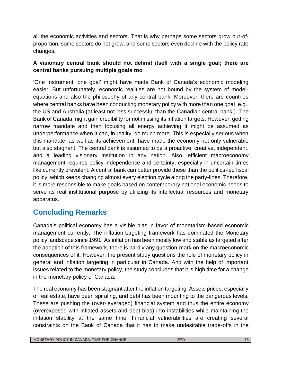all the economic activities and sectors. That is why perhaps some sectors grow out-of proportion, some sectors do not grow, and some sectors even decline with the policy rate changes.

## **A visionary central bank should not delimit itself with a single goal; there are central banks pursuing multiple goals too**

'One instrument, one goal' might have made Bank of Canada's economic modeling easier. But unfortunately, economic realities are not bound by the system of model equations and also the philosophy of any central bank. Moreover, there are countries where central banks have been conducting monetary policy with more than one goal, e.g., the US and Australia (at least not less successful than the Canadian central bank!). The Bank of Canada might gain credibility for not missing its inflation targets. However, getting narrow mandate and then focusing all energy achieving it might be assumed as underperformance when it can, in reality, do much more. This is especially serious when this mandate, as well as its achievement, have made the economy not only vulnerable but also stagnant. The central bank is assumed to be a proactive, creative, independent, and a leading visionary institution in any nation. Also, efficient macroeconomy management requires policy-independence and certainty, especially in uncertain times like currently prevalent. A central bank can better provide these than the politics-led fiscal policy, which keeps changing almost every election cycle along the party-lines. Therefore, it is more responsible to make goals based on contemporary national economic needs to serve its real institutional purpose by utilizing its intellectual resources and monetary apparatus.

# **Concluding Remarks**

Canada's political economy has a visible bias in favor of monetarism-based economic management currently. The inflation-targeting framework has dominated the Monetary policy landscape since 1991. As inflation has been mostly low and stable as targeted after the adoption of this framework, there is hardly any question-mark on the macroeconomic consequences of it. However, the present study questions the role of monetary policy in general and inflation targeting in particular in Canada. And with the help of important issues related to the monetary policy, the study concludes that it is high time for a change in the monetary policy of Canada.

The real economy has been stagnant after the inflation targeting. Assets prices, especially of real estate, have been spiraling, and debt has been mounting to the dangerous levels. These are pushing the (over-leveraged) financial system and thus the entire economy (overexposed with inflated assets and debt-bias) into instabilities while maintaining the inflation stability at the same time. Financial vulnerabilities are creating several constraints on the Bank of Canada that it has to make undesirable trade-offs in the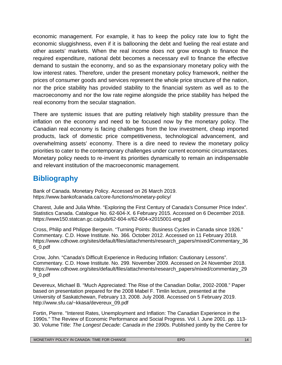economic management. For example, it has to keep the policy rate low to fight the economic sluggishness, even if it is ballooning the debt and fueling the real estate and other assets' markets. When the real income does not grow enough to finance the required expenditure, national debt becomes a necessary evil to finance the effective demand to sustain the economy, and so as the expansionary monetary policy with the low interest rates. Therefore, under the present monetary policy framework, neither the prices of consumer goods and services represent the whole price structure of the nation, nor the price stability has provided stability to the financial system as well as to the macroeconomy and nor the low rate regime alongside the price stability has helped the real economy from the secular stagnation.

There are systemic issues that are putting relatively high stability pressure than the inflation on the economy and need to be focused now by the monetary policy. The Canadian real economy is facing challenges from the low investment, cheap imported products, lack of domestic price competitiveness, technological advancement, and overwhelming assets' economy. There is a dire need to review the monetary policy priorities to cater to the contemporary challenges under current economic circumstances. Monetary policy needs to re-invent its priorities dynamically to remain an indispensable and relevant institution of the macroeconomic management.

# **Bibliography**

Bank of Canada. Monetary Policy. Accessed on 26 March 2019. https:/[/www.bankofcanada.ca/core-functions/monetary-policy/](www.bankofcanada.ca/core-functions/monetary-policy/)

Charest, Julie and Julia White. "Exploring the First Century of Canada's Consumer Price Index". Statistics Canada. Catalogue No. 62-604-X. 6 February 2015. Accessed on 6 December 2018. https://www150.statcan.gc.ca/pub/62-604-x/62-604-x2015001-eng.pdf

Cross, Philip and Philippe Bergevin. "Turning Points: Business Cycles in Canada since 1926." Commentary. C.D. Howe Institute. No. 366*.* October 2012. Accessed on 11 February 2018. https:/[/www.cdhowe.org/sites/default/files/attachments/research\\_papers/mixed/Commentary\\_36](www.cdhowe.org/sites/default/files/attachments/research_papers/mixed/Commentary_36) 6\_0.pdf

Crow, John. "Canada's Difficult Experience in Reducing Inflation: Cautionary Lessons". Commentary. C.D. Howe Institute. No. 299. November 2009. Accessed on 24 November 2018. https:/[/www.cdhowe.org/sites/default/files/attachments/research\\_papers/mixed/commentary\\_29](www.cdhowe.org/sites/default/files/attachments/research_papers/mixed/commentary_29) 9\_0.pdf

Devereux, Michael B. "Much Appreciated: The Rise of the Canadian Dollar, 2002-2008." Paper based on presentation prepared for the 2008 Mabel F. Timlin lecture, presented at the University of Saskatchewan, February 13, 2008. July 2008. Accessed on 5 February 2019. [http://www.sfu.ca/~kkasa/devereux\\_09.pdf](http://www.sfu.ca/~kkasa/devereux_09.pdf)

Fortin, Pierre. "Interest Rates, Unemployment and Inflation: The Canadian Experience in the 1990s." The Review of Economic Performance and Social Progress. Vol. l. June 2001. pp. 113- 30. Volume Title: *The Longest Decade: Canada in the 1990s*. Published jointly by the Centre for

| <b>TARY POLICY IN C</b><br><b>TIME</b><br><b>CHANGE</b><br><b>MONF</b><br><b>FOR</b><br>CANADA: |  | ıд |
|-------------------------------------------------------------------------------------------------|--|----|
|-------------------------------------------------------------------------------------------------|--|----|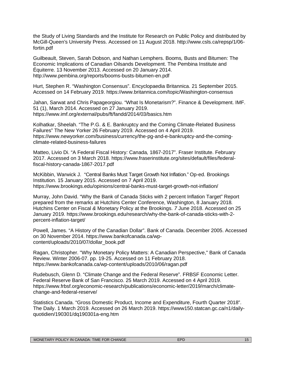the Study of Living Standards and the Institute for Research on Public Policy and distributed by McGill-Queen's University Press. Accessed on 11 August 2018. [http://www.csls.ca/repsp/1/06](http://www.csls.ca/repsp/1/06-) fortin.pdf

Guilbeault, Steven, Sarah Dobson, and Nathan Lemphers. Booms*,* Busts and Bitumen: The Economic Implications of Canadian Oilsands Development. The Pembina Institute and Équiterre. 13 November 2013. Accessed on 20 January 2014. [http://www.pembina.org/reports/booms](http://www.pembina.org/reports/booms-busts-bitumen-en.pdf)*-*busts*-*bitumen-en.pdf

Hurt, Stephen R. "Washington Consensus". Encyclopaedia Britannica. 21 September 2015. Accessed on 14 February 2019. https:/[/www.britannica.com/topic/Washington-consensus](www.britannica.com/topic/Washington-consensus)

Jahan, Sarwat and Chris Papageorgiou. "What Is Monetarism?". Finance & Development. IMF. 51 (1), March 2014. Accessed on 27 January 2019. https:/[/www.imf.org/external/pubs/ft/fandd/2014/03/basics.htm](www.imf.org/external/pubs/ft/fandd/2014/03/basics.htm)

Kolhatkar, Sheelah. "The P.G. & E. Bankruptcy and the Coming Climate-Related Business Failures" The New Yorker 26 February 2019. Accessed on 4 April 2019. https:/[/www.newyorker.com/business/currency/the-pg-and-e-bankruptcy-and-the-coming](www.newyorker.com/business/currency/the-pg-and-e-bankruptcy-and-the-coming-) climate-related-business-failures

Matteo, Livio Di. "A Federal Fiscal History*:* Canada*,* 1867*-*2017". Fraser Institute. February 2017. Accessed on 3 March 2018. https:/[/www.fraserinstitute.org/sites/default/files/federal](www.fraserinstitute.org/sites/default/files/federal-)fiscal-history-canada-1867-2017.pdf

McKibbin, Warwick J. "Central Banks Must Target Growth Not Inflation." Op-ed. Brookings Institution. 15 January 2015. Accessed on 7 April 2019. https:/[/www.brookings.edu/opinions/central-banks-must-target-growth-not-inflation/](www.brookings.edu/opinions/central-banks-must-target-growth-not-inflation/)

Murray, John David. "Why the Bank of Canada Sticks with 2 percent Inflation Target" Report prepared from the remarks at Hutchins Center Conference, Washington, 8 January 2018*.* Hutchins Center on Fiscal *&* Monetary Policy at the Brookings. *7* June 2018. Accessed on 25 January 2019. https://[www.brookings.edu/research/why-the-bank-of-canada-sticks-with-2](www.brookings.edu/research/why-the-bank-of-canada-sticks-with-2-) percent-inflation-target/

Powell*,* James. "A History of the Canadian Dollar". Bank of Canada. December 2005. Accessed on 30 November 2014. https://[www.bankofcanada.ca/wp](www.bankofcanada.ca/wp-) content/uploads/2010/07/dollar\_book.pdf

Ragan, Christopher. "Why Monetary Policy Matters: A Canadian Perspective," Bank of Canada Review. Winter 2006-07. pp. 19-25. Accessed on 11 February 2018. https:/[/www.bankofcanada.ca/wp-content/uploads/2010/06/ragan.pdf](www.bankofcanada.ca/wp-content/uploads/2010/06/ragan.pdf)

Rudebusch, Glenn D. "Climate Change and the Federal Reserve". FRBSF Economic Letter. Federal Reserve Bank of San Francisco. 25 March 2019. Accessed on 4 April 2019. https:/[/www.frbsf.org/economic-research/publications/economic-letter/2019/march/climate](www.frbsf.org/economic-research/publications/economic-letter/2019/march/climate-) change-and-federal-reserve/

Statistics Canada. "Gross Domestic Product, Income and Expenditure, Fourth Quarter 2018". The Daily. 1 March 2019. Accessed on 26 March 2019. https://www150.statcan.gc.ca/n1/daily quotidien/190301/dq190301a-eng.htm